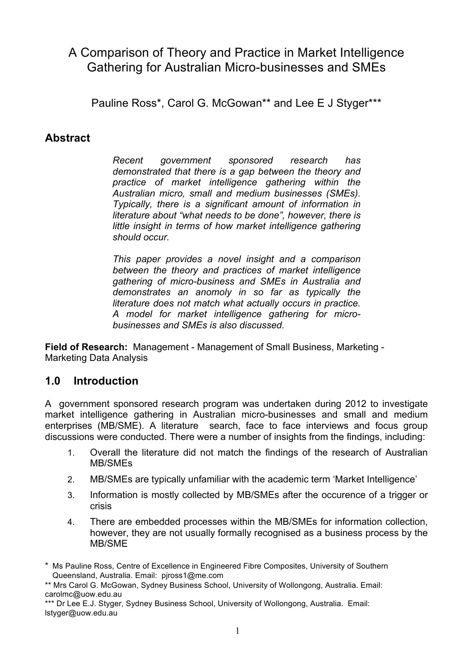# A Comparison of Theory and Practice in Market Intelligence Gathering for Australian Micro-businesses and SMEs

Pauline Ross\*, Carol G. McGowan\*\* and Lee E J Styger\*\*\*

### **Abstract**

*Recent government sponsored research has demonstrated that there is a gap between the theory and practice of market intelligence gathering within the Australian micro, small and medium businesses (SMEs). Typically, there is a significant amount of information in literature about "what needs to be done", however, there is little insight in terms of how market intelligence gathering should occur.* 

*This paper provides a novel insight and a comparison between the theory and practices of market intelligence gathering of micro-business and SMEs in Australia and demonstrates an anomoly in so far as typically the literature does not match what actually occurs in practice. A model for market intelligence gathering for microbusinesses and SMEs is also discussed.*

**Field of Research:** Management - Management of Small Business, Marketing - Marketing Data Analysis

### **1.0 Introduction**

A government sponsored research program was undertaken during 2012 to investigate market intelligence gathering in Australian micro-businesses and small and medium enterprises (MB/SME). A literature search, face to face interviews and focus group discussions were conducted. There were a number of insights from the findings, including:

- 1. Overall the literature did not match the findings of the research of Australian MB/SMEs
- 2. MB/SMEs are typically unfamiliar with the academic term 'Market Intelligence'
- 3. Information is mostly collected by MB/SMEs after the occurence of a trigger or crisis
- 4. There are embedded processes within the MB/SMEs for information collection, however, they are not usually formally recognised as a business process by the MB/SME

<sup>\*</sup> Ms Pauline Ross, Centre of Excellence in Engineered Fibre Composites, University of Southern Queensland, Australia. Email: pjross1@me.com

<sup>\*\*</sup> Mrs Carol G. McGowan, Sydney Business School, University of Wollongong, Australia. Email: carolmc@uow.edu.au

<sup>\*\*\*</sup> Dr Lee E.J. Styger, Sydney Business School, University of Wollongong, Australia. Email: lstyger@uow.edu.au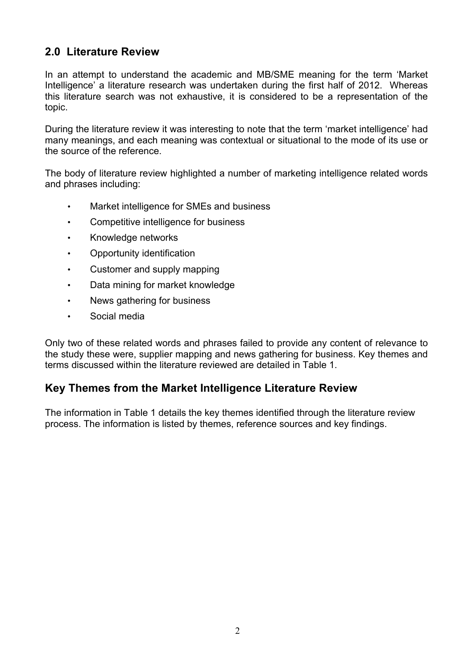### **2.0 Literature Review**

In an attempt to understand the academic and MB/SME meaning for the term 'Market Intelligence' a literature research was undertaken during the first half of 2012. Whereas this literature search was not exhaustive, it is considered to be a representation of the topic.

During the literature review it was interesting to note that the term 'market intelligence' had many meanings, and each meaning was contextual or situational to the mode of its use or the source of the reference.

The body of literature review highlighted a number of marketing intelligence related words and phrases including:

- Market intelligence for SMEs and business
- Competitive intelligence for business
- Knowledge networks
- Opportunity identification
- Customer and supply mapping
- Data mining for market knowledge
- News gathering for business
- Social media

Only two of these related words and phrases failed to provide any content of relevance to the study these were, supplier mapping and news gathering for business. Key themes and terms discussed within the literature reviewed are detailed in Table 1.

### **Key Themes from the Market Intelligence Literature Review**

The information in Table 1 details the key themes identified through the literature review process. The information is listed by themes, reference sources and key findings.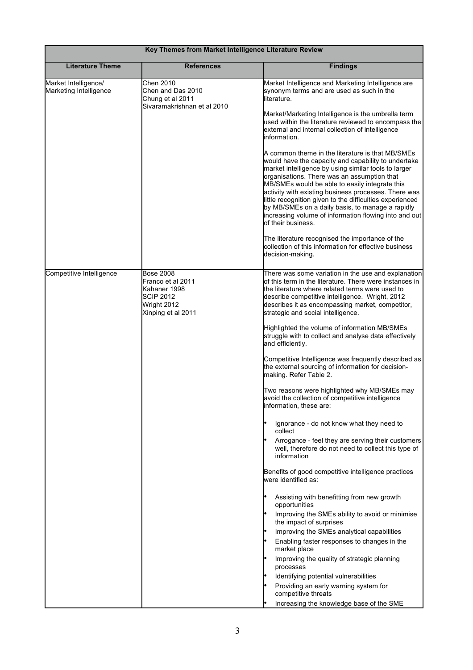| Key Themes from Market Intelligence Literature Review |                                                                                                                |                                                                                                                                                                                                                                                                                                                                                                                                                                                                                                                         |  |
|-------------------------------------------------------|----------------------------------------------------------------------------------------------------------------|-------------------------------------------------------------------------------------------------------------------------------------------------------------------------------------------------------------------------------------------------------------------------------------------------------------------------------------------------------------------------------------------------------------------------------------------------------------------------------------------------------------------------|--|
| <b>Literature Theme</b>                               | <b>References</b>                                                                                              | <b>Findings</b>                                                                                                                                                                                                                                                                                                                                                                                                                                                                                                         |  |
| Market Intelligence/<br>Marketing Intelligence        | Chen 2010<br>Chen and Das 2010<br>Chung et al 2011<br>Sivaramakrishnan et al 2010                              | Market Intelligence and Marketing Intelligence are<br>synonym terms and are used as such in the<br>literature.<br>Market/Marketing Intelligence is the umbrella term<br>used within the literature reviewed to encompass the<br>external and internal collection of intelligence<br>information.                                                                                                                                                                                                                        |  |
|                                                       |                                                                                                                | A common theme in the literature is that MB/SMEs<br>would have the capacity and capability to undertake<br>market intelligence by using similar tools to larger<br>organisations. There was an assumption that<br>MB/SMEs would be able to easily integrate this<br>activity with existing business processes. There was<br>little recognition given to the difficulties experienced<br>by MB/SMEs on a daily basis, to manage a rapidly<br>increasing volume of information flowing into and out<br>of their business. |  |
|                                                       |                                                                                                                | The literature recognised the importance of the<br>collection of this information for effective business<br>decision-making.                                                                                                                                                                                                                                                                                                                                                                                            |  |
| Competitive Intelligence                              | <b>Bose 2008</b><br>Franco et al 2011<br>Kahaner 1998<br><b>SCIP 2012</b><br>Wright 2012<br>Xinping et al 2011 | There was some variation in the use and explanation<br>of this term in the literature. There were instances in<br>the literature where related terms were used to<br>describe competitive intelligence. Wright, 2012<br>describes it as encompassing market, competitor,<br>strategic and social intelligence.                                                                                                                                                                                                          |  |
|                                                       |                                                                                                                | Highlighted the volume of information MB/SMEs<br>struggle with to collect and analyse data effectively<br>and efficiently.                                                                                                                                                                                                                                                                                                                                                                                              |  |
|                                                       |                                                                                                                | Competitive Intelligence was frequently described as<br>the external sourcing of information for decision-<br>making. Refer Table 2.                                                                                                                                                                                                                                                                                                                                                                                    |  |
|                                                       |                                                                                                                | Two reasons were highlighted why MB/SMEs may<br>avoid the collection of competitive intelligence<br>information, these are:                                                                                                                                                                                                                                                                                                                                                                                             |  |
|                                                       |                                                                                                                | Ignorance - do not know what they need to<br>collect                                                                                                                                                                                                                                                                                                                                                                                                                                                                    |  |
|                                                       |                                                                                                                | Arrogance - feel they are serving their customers<br>well, therefore do not need to collect this type of<br>information                                                                                                                                                                                                                                                                                                                                                                                                 |  |
|                                                       |                                                                                                                | Benefits of good competitive intelligence practices<br>were identified as:                                                                                                                                                                                                                                                                                                                                                                                                                                              |  |
|                                                       |                                                                                                                | Assisting with benefitting from new growth<br>opportunities<br>Improving the SMEs ability to avoid or minimise                                                                                                                                                                                                                                                                                                                                                                                                          |  |
|                                                       |                                                                                                                | the impact of surprises<br>Improving the SMEs analytical capabilities<br>Enabling faster responses to changes in the<br>market place                                                                                                                                                                                                                                                                                                                                                                                    |  |
|                                                       |                                                                                                                | Improving the quality of strategic planning<br>processes                                                                                                                                                                                                                                                                                                                                                                                                                                                                |  |
|                                                       |                                                                                                                | Identifying potential vulnerabilities<br>Providing an early warning system for<br>competitive threats                                                                                                                                                                                                                                                                                                                                                                                                                   |  |
|                                                       |                                                                                                                | Increasing the knowledge base of the SME                                                                                                                                                                                                                                                                                                                                                                                                                                                                                |  |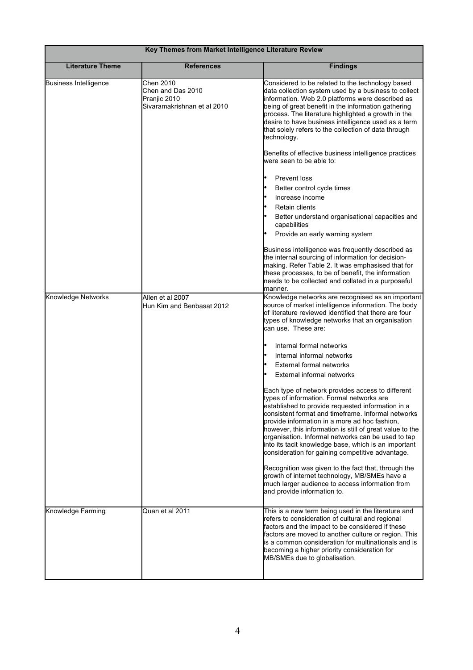| Key Themes from Market Intelligence Literature Review |                                                                               |                                                                                                                                                                                                                                                                                                                                                                                                                                                                                          |  |
|-------------------------------------------------------|-------------------------------------------------------------------------------|------------------------------------------------------------------------------------------------------------------------------------------------------------------------------------------------------------------------------------------------------------------------------------------------------------------------------------------------------------------------------------------------------------------------------------------------------------------------------------------|--|
| <b>Literature Theme</b>                               | <b>References</b>                                                             | <b>Findings</b>                                                                                                                                                                                                                                                                                                                                                                                                                                                                          |  |
| <b>Business Intelligence</b>                          | Chen 2010<br>Chen and Das 2010<br>Pranjic 2010<br>Sivaramakrishnan et al 2010 | Considered to be related to the technology based<br>data collection system used by a business to collect<br>information. Web 2.0 platforms were described as<br>being of great benefit in the information gathering<br>process. The literature highlighted a growth in the<br>desire to have business intelligence used as a term<br>that solely refers to the collection of data through<br>technology.                                                                                 |  |
|                                                       |                                                                               | Benefits of effective business intelligence practices<br>were seen to be able to:                                                                                                                                                                                                                                                                                                                                                                                                        |  |
|                                                       |                                                                               | <b>Prevent loss</b>                                                                                                                                                                                                                                                                                                                                                                                                                                                                      |  |
|                                                       |                                                                               | Better control cycle times                                                                                                                                                                                                                                                                                                                                                                                                                                                               |  |
|                                                       |                                                                               | Increase income                                                                                                                                                                                                                                                                                                                                                                                                                                                                          |  |
|                                                       |                                                                               | <b>Retain clients</b>                                                                                                                                                                                                                                                                                                                                                                                                                                                                    |  |
|                                                       |                                                                               | Better understand organisational capacities and<br>capabilities                                                                                                                                                                                                                                                                                                                                                                                                                          |  |
|                                                       |                                                                               | Provide an early warning system                                                                                                                                                                                                                                                                                                                                                                                                                                                          |  |
|                                                       |                                                                               | Business intelligence was frequently described as<br>the internal sourcing of information for decision-<br>making. Refer Table 2. It was emphasised that for<br>these processes, to be of benefit, the information<br>needs to be collected and collated in a purposeful<br>manner.                                                                                                                                                                                                      |  |
| Knowledge Networks                                    | Allen et al 2007                                                              | Knowledge networks are recognised as an important                                                                                                                                                                                                                                                                                                                                                                                                                                        |  |
|                                                       | Hun Kim and Benbasat 2012                                                     | source of market intelligence information. The body<br>of literature reviewed identified that there are four<br>types of knowledge networks that an organisation<br>can use. These are:                                                                                                                                                                                                                                                                                                  |  |
|                                                       |                                                                               | Internal formal networks                                                                                                                                                                                                                                                                                                                                                                                                                                                                 |  |
|                                                       |                                                                               | Internal informal networks                                                                                                                                                                                                                                                                                                                                                                                                                                                               |  |
|                                                       |                                                                               | External formal networks                                                                                                                                                                                                                                                                                                                                                                                                                                                                 |  |
|                                                       |                                                                               | External informal networks                                                                                                                                                                                                                                                                                                                                                                                                                                                               |  |
|                                                       |                                                                               | Each type of network provides access to different<br>types of information. Formal networks are<br>established to provide requested information in a<br>consistent format and timeframe. Informal networks<br>provide information in a more ad hoc fashion,<br>however, this information is still of great value to the<br>organisation. Informal networks can be used to tap<br>into its tacit knowledge base, which is an important<br>consideration for gaining competitive advantage. |  |
|                                                       |                                                                               | Recognition was given to the fact that, through the<br>growth of internet technology, MB/SMEs have a<br>much larger audience to access information from<br>and provide information to.                                                                                                                                                                                                                                                                                                   |  |
| Knowledge Farming                                     | Quan et al 2011                                                               | This is a new term being used in the literature and<br>refers to consideration of cultural and regional<br>factors and the impact to be considered if these<br>factors are moved to another culture or region. This<br>is a common consideration for multinationals and is<br>becoming a higher priority consideration for<br>MB/SMEs due to globalisation.                                                                                                                              |  |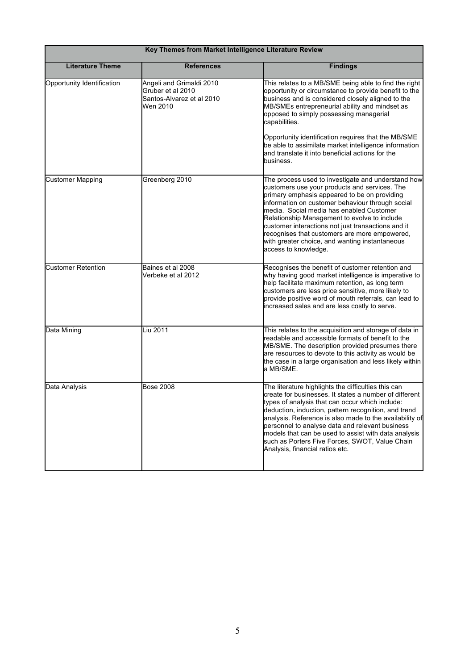| Key Themes from Market Intelligence Literature Review |                                                                                        |                                                                                                                                                                                                                                                                                                                                                                                                                                                                                      |  |
|-------------------------------------------------------|----------------------------------------------------------------------------------------|--------------------------------------------------------------------------------------------------------------------------------------------------------------------------------------------------------------------------------------------------------------------------------------------------------------------------------------------------------------------------------------------------------------------------------------------------------------------------------------|--|
| <b>Literature Theme</b>                               | <b>References</b>                                                                      | <b>Findings</b>                                                                                                                                                                                                                                                                                                                                                                                                                                                                      |  |
| Opportunity Identification                            | Angeli and Grimaldi 2010<br>Gruber et al 2010<br>Santos-Alvarez et al 2010<br>Wen 2010 | This relates to a MB/SME being able to find the right<br>opportunity or circumstance to provide benefit to the<br>business and is considered closely aligned to the<br>MB/SMEs entrepreneurial ability and mindset as<br>opposed to simply possessing managerial<br>capabilities.                                                                                                                                                                                                    |  |
|                                                       |                                                                                        | Opportunity identification requires that the MB/SME<br>be able to assimilate market intelligence information<br>and translate it into beneficial actions for the<br>business.                                                                                                                                                                                                                                                                                                        |  |
| <b>Customer Mapping</b>                               | Greenberg 2010                                                                         | The process used to investigate and understand how<br>customers use your products and services. The<br>primary emphasis appeared to be on providing<br>information on customer behaviour through social<br>media. Social media has enabled Customer<br>Relationship Management to evolve to include<br>customer interactions not just transactions and it<br>recognises that customers are more empowered,<br>with greater choice, and wanting instantaneous<br>access to knowledge. |  |
| <b>Customer Retention</b>                             | Baines et al 2008<br>Verbeke et al 2012                                                | Recognises the benefit of customer retention and<br>why having good market intelligence is imperative to<br>help facilitate maximum retention, as long term<br>customers are less price sensitive, more likely to<br>provide positive word of mouth referrals, can lead to<br>increased sales and are less costly to serve.                                                                                                                                                          |  |
| Data Mining                                           | Liu 2011                                                                               | This relates to the acquisition and storage of data in<br>readable and accessible formats of benefit to the<br>MB/SME. The description provided presumes there<br>are resources to devote to this activity as would be<br>the case in a large organisation and less likely within<br>a MB/SME.                                                                                                                                                                                       |  |
| Data Analysis                                         | <b>Bose 2008</b>                                                                       | The literature highlights the difficulties this can<br>create for businesses. It states a number of different<br>types of analysis that can occur which include:<br>deduction, induction, pattern recognition, and trend<br>analysis. Reference is also made to the availability of<br>personnel to analyse data and relevant business<br>models that can be used to assist with data analysis<br>such as Porters Five Forces, SWOT, Value Chain<br>Analysis, financial ratios etc.  |  |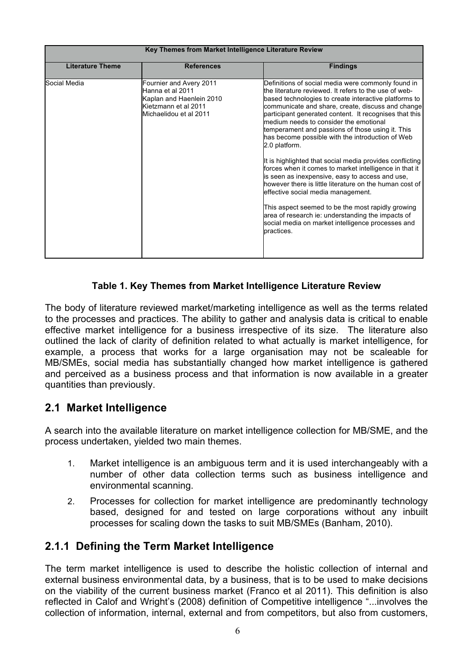| Key Themes from Market Intelligence Literature Review |                                                                                                                           |                                                                                                                                                                                                                                                                                                                                                                                                                                                                                                                                                                                                                                                                                                                                                                                                                                                                                                               |  |
|-------------------------------------------------------|---------------------------------------------------------------------------------------------------------------------------|---------------------------------------------------------------------------------------------------------------------------------------------------------------------------------------------------------------------------------------------------------------------------------------------------------------------------------------------------------------------------------------------------------------------------------------------------------------------------------------------------------------------------------------------------------------------------------------------------------------------------------------------------------------------------------------------------------------------------------------------------------------------------------------------------------------------------------------------------------------------------------------------------------------|--|
| <b>Literature Theme</b>                               | <b>References</b>                                                                                                         | <b>Findings</b>                                                                                                                                                                                                                                                                                                                                                                                                                                                                                                                                                                                                                                                                                                                                                                                                                                                                                               |  |
| Social Media                                          | Fournier and Avery 2011<br>Hanna et al 2011<br>Kaplan and Haenlein 2010<br>Kietzmann et al 2011<br>Michaelidou et al 2011 | Definitions of social media were commonly found in<br>the literature reviewed. It refers to the use of web-<br>based technologies to create interactive platforms to<br>communicate and share, create, discuss and change<br>participant generated content. It recognises that this<br>medium needs to consider the emotional<br>temperament and passions of those using it. This<br>has become possible with the introduction of Web<br>2.0 platform.<br>It is highlighted that social media provides conflicting<br>forces when it comes to market intelligence in that it<br>is seen as inexpensive, easy to access and use,<br>however there is little literature on the human cost of<br>effective social media management.<br>This aspect seemed to be the most rapidly growing<br>area of research ie: understanding the impacts of<br>social media on market intelligence processes and<br>practices. |  |

### **Table 1. Key Themes from Market Intelligence Literature Review**

The body of literature reviewed market/marketing intelligence as well as the terms related to the processes and practices. The ability to gather and analysis data is critical to enable effective market intelligence for a business irrespective of its size. The literature also outlined the lack of clarity of definition related to what actually is market intelligence, for example, a process that works for a large organisation may not be scaleable for MB/SMEs, social media has substantially changed how market intelligence is gathered and perceived as a business process and that information is now available in a greater quantities than previously.

### **2.1 Market Intelligence**

A search into the available literature on market intelligence collection for MB/SME, and the process undertaken, yielded two main themes.

- 1. Market intelligence is an ambiguous term and it is used interchangeably with a number of other data collection terms such as business intelligence and environmental scanning.
- 2. Processes for collection for market intelligence are predominantly technology based, designed for and tested on large corporations without any inbuilt processes for scaling down the tasks to suit MB/SMEs (Banham, 2010).

### **2.1.1 Defining the Term Market Intelligence**

The term market intelligence is used to describe the holistic collection of internal and external business environmental data, by a business, that is to be used to make decisions on the viability of the current business market (Franco et al 2011). This definition is also reflected in Calof and Wright's (2008) definition of Competitive intelligence "...involves the collection of information, internal, external and from competitors, but also from customers,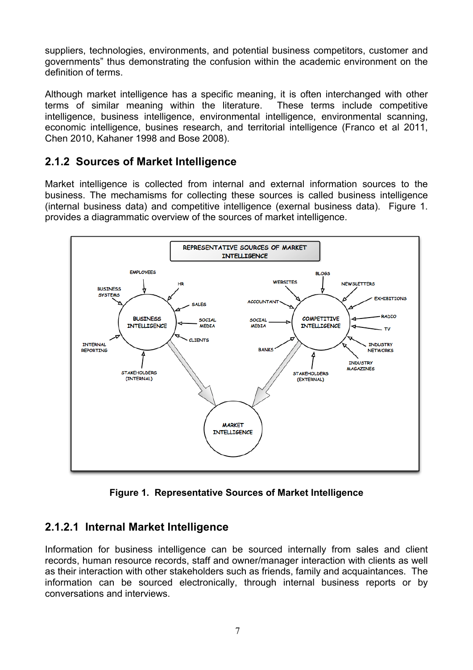suppliers, technologies, environments, and potential business competitors, customer and governments" thus demonstrating the confusion within the academic environment on the definition of terms.

Although market intelligence has a specific meaning, it is often interchanged with other terms of similar meaning within the literature. These terms include competitive intelligence, business intelligence, environmental intelligence, environmental scanning, economic intelligence, busines research, and territorial intelligence (Franco et al 2011, Chen 2010, Kahaner 1998 and Bose 2008).

### **2.1.2 Sources of Market Intelligence**

Market intelligence is collected from internal and external information sources to the business. The mechamisms for collecting these sources is called business intelligence (internal business data) and competitive intelligence (exernal business data). Figure 1. provides a diagrammatic overview of the sources of market intelligence.



**Figure 1. Representative Sources of Market Intelligence**

## **2.1.2.1 Internal Market Intelligence**

Information for business intelligence can be sourced internally from sales and client records, human resource records, staff and owner/manager interaction with clients as well as their interaction with other stakeholders such as friends, family and acquaintances. The information can be sourced electronically, through internal business reports or by conversations and interviews.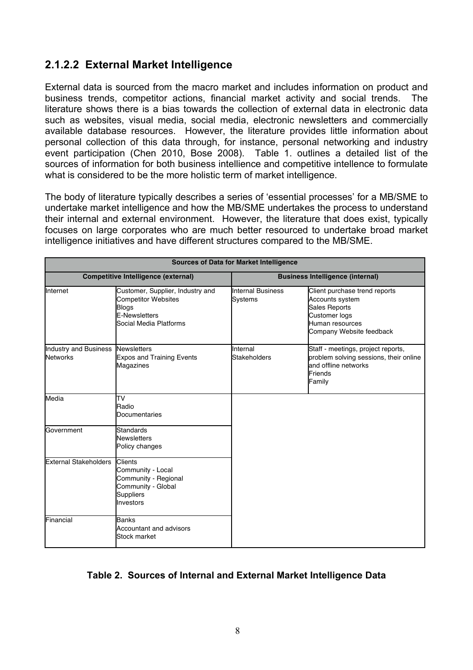### **2.1.2.2 External Market Intelligence**

External data is sourced from the macro market and includes information on product and business trends, competitor actions, financial market activity and social trends. The literature shows there is a bias towards the collection of external data in electronic data such as websites, visual media, social media, electronic newsletters and commercially available database resources. However, the literature provides little information about personal collection of this data through, for instance, personal networking and industry event participation (Chen 2010, Bose 2008). Table 1. outlines a detailed list of the sources of information for both business intellience and competitive intellence to formulate what is considered to be the more holistic term of market intelligence.

The body of literature typically describes a series of 'essential processes' for a MB/SME to undertake market intelligence and how the MB/SME undertakes the process to understand their internal and external environment. However, the literature that does exist, typically focuses on large corporates who are much better resourced to undertake broad market intelligence initiatives and have different structures compared to the MB/SME.

| <b>Sources of Data for Market Intelligence</b>       |                                                                                                                           |                                         |                                                                                                                                          |
|------------------------------------------------------|---------------------------------------------------------------------------------------------------------------------------|-----------------------------------------|------------------------------------------------------------------------------------------------------------------------------------------|
| <b>Competitive Intelligence (external)</b>           |                                                                                                                           | <b>Business Intelligence (internal)</b> |                                                                                                                                          |
| Internet                                             | Customer, Supplier, Industry and<br><b>Competitor Websites</b><br>Blogs<br><b>E-Newsletters</b><br>Social Media Platforms | <b>Internal Business</b><br>Systems     | Client purchase trend reports<br>Accounts system<br><b>Sales Reports</b><br>Customer logs<br>Human resources<br>Company Website feedback |
| Industry and Business Newsletters<br><b>Networks</b> | <b>Expos and Training Events</b><br>Magazines                                                                             | Internal<br><b>Stakeholders</b>         | Staff - meetings, project reports,<br>problem solving sessions, their online<br>and offline networks<br>Friends<br>Family                |
| Media                                                | TV<br>Radio<br><b>Documentaries</b>                                                                                       |                                         |                                                                                                                                          |
| Government                                           | <b>Standards</b><br><b>Newsletters</b><br>Policy changes                                                                  |                                         |                                                                                                                                          |
| <b>External Stakeholders</b>                         | <b>Clients</b><br>Community - Local<br>Community - Regional<br>Community - Global<br><b>Suppliers</b><br>Investors        |                                         |                                                                                                                                          |
| Financial                                            | <b>Banks</b><br>Accountant and advisors<br><b>Stock market</b>                                                            |                                         |                                                                                                                                          |

### **Table 2. Sources of Internal and External Market Intelligence Data**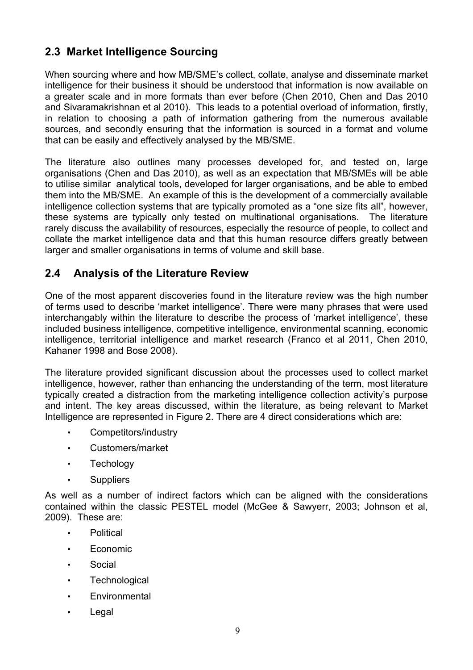## **2.3 Market Intelligence Sourcing**

When sourcing where and how MB/SME's collect, collate, analyse and disseminate market intelligence for their business it should be understood that information is now available on a greater scale and in more formats than ever before (Chen 2010, Chen and Das 2010 and Sivaramakrishnan et al 2010). This leads to a potential overload of information, firstly, in relation to choosing a path of information gathering from the numerous available sources, and secondly ensuring that the information is sourced in a format and volume that can be easily and effectively analysed by the MB/SME.

The literature also outlines many processes developed for, and tested on, large organisations (Chen and Das 2010), as well as an expectation that MB/SMEs will be able to utilise similar analytical tools, developed for larger organisations, and be able to embed them into the MB/SME. An example of this is the development of a commercially available intelligence collection systems that are typically promoted as a "one size fits all", however, these systems are typically only tested on multinational organisations. The literature rarely discuss the availability of resources, especially the resource of people, to collect and collate the market intelligence data and that this human resource differs greatly between larger and smaller organisations in terms of volume and skill base.

### **2.4 Analysis of the Literature Review**

One of the most apparent discoveries found in the literature review was the high number of terms used to describe 'market intelligence'. There were many phrases that were used interchangably within the literature to describe the process of 'market intelligence', these included business intelligence, competitive intelligence, environmental scanning, economic intelligence, territorial intelligence and market research (Franco et al 2011, Chen 2010, Kahaner 1998 and Bose 2008).

The literature provided significant discussion about the processes used to collect market intelligence, however, rather than enhancing the understanding of the term, most literature typically created a distraction from the marketing intelligence collection activity's purpose and intent. The key areas discussed, within the literature, as being relevant to Market Intelligence are represented in Figure 2. There are 4 direct considerations which are:

- Competitors/industry
- Customers/market
- Techology
- Suppliers

As well as a number of indirect factors which can be aligned with the considerations contained within the classic PESTEL model (McGee & Sawyerr, 2003; Johnson et al, 2009). These are:

- Political
- Economic
- **Social**
- Technological
- Environmental
- **Legal**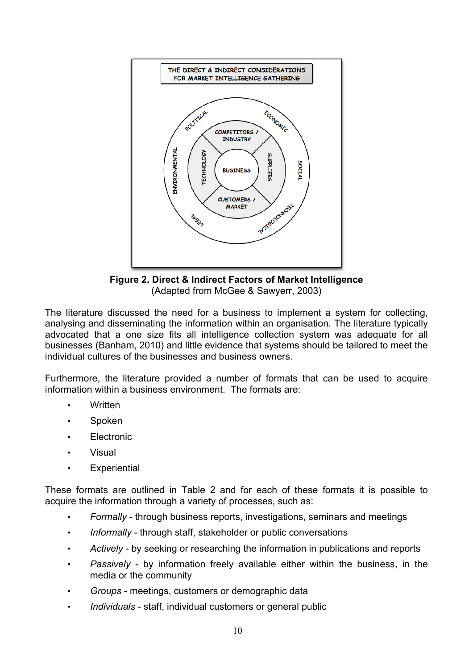

**Figure 2. Direct & Indirect Factors of Market Intelligence** (Adapted from McGee & Sawyerr, 2003)

The literature discussed the need for a business to implement a system for collecting, analysing and disseminating the information within an organisation. The literature typically advocated that a one size fits all intelligence collection system was adequate for all businesses (Banham, 2010) and little evidence that systems should be tailored to meet the individual cultures of the businesses and business owners.

Furthermore, the literature provided a number of formats that can be used to acquire information within a business environment. The formats are:

- Written
- **Spoken**
- **Electronic**
- Visual
- **Experiential**

These formats are outlined in Table 2 and for each of these formats it is possible to acquire the information through a variety of processes, such as:

- *Formally* through business reports, investigations, seminars and meetings
- *Informally* through staff, stakeholder or public conversations
- *Actively* by seeking or researching the information in publications and reports
- *Passively* by information freely available either within the business, in the media or the community
- *Groups* meetings, customers or demographic data
- *Individuals* staff, individual customers or general public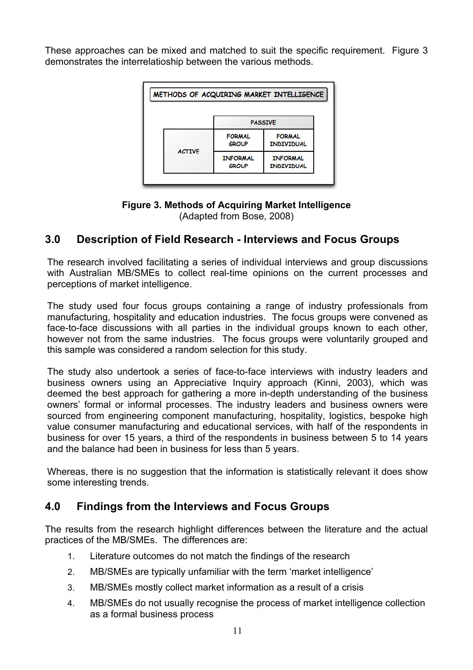These approaches can be mixed and matched to suit the specific requirement. Figure 3 demonstrates the interrelatioship between the various methods.

| METHODS OF ACQUIRING MARKET INTELLIGENCE |                                 |                                      |                                    |  |
|------------------------------------------|---------------------------------|--------------------------------------|------------------------------------|--|
|                                          |                                 |                                      | <b>PASSIVE</b>                     |  |
|                                          |                                 | <b>FORMAL</b><br>GROUP               | <b>FORMAL</b><br><b>INDIVIDUAL</b> |  |
| <b>ACTIVE</b>                            | <b>INFORMAL</b><br><b>GROUP</b> | <b>INFORMAL</b><br><b>INDIVIDUAL</b> |                                    |  |
|                                          |                                 |                                      |                                    |  |

#### **Figure 3. Methods of Acquiring Market Intelligence**  (Adapted from Bose, 2008)

### **3.0 Description of Field Research - Interviews and Focus Groups**

The research involved facilitating a series of individual interviews and group discussions with Australian MB/SMEs to collect real-time opinions on the current processes and perceptions of market intelligence.

The study used four focus groups containing a range of industry professionals from manufacturing, hospitality and education industries. The focus groups were convened as face-to-face discussions with all parties in the individual groups known to each other, however not from the same industries. The focus groups were voluntarily grouped and this sample was considered a random selection for this study.

The study also undertook a series of face-to-face interviews with industry leaders and business owners using an Appreciative Inquiry approach (Kinni, 2003), which was deemed the best approach for gathering a more in-depth understanding of the business owners' formal or informal processes. The industry leaders and business owners were sourced from engineering component manufacturing, hospitality, logistics, bespoke high value consumer manufacturing and educational services, with half of the respondents in business for over 15 years, a third of the respondents in business between 5 to 14 years and the balance had been in business for less than 5 years.

Whereas, there is no suggestion that the information is statistically relevant it does show some interesting trends.

### **4.0 Findings from the Interviews and Focus Groups**

The results from the research highlight differences between the literature and the actual practices of the MB/SMEs. The differences are:

- 1. Literature outcomes do not match the findings of the research
- 2. MB/SMEs are typically unfamiliar with the term 'market intelligence'
- 3. MB/SMEs mostly collect market information as a result of a crisis
- 4. MB/SMEs do not usually recognise the process of market intelligence collection as a formal business process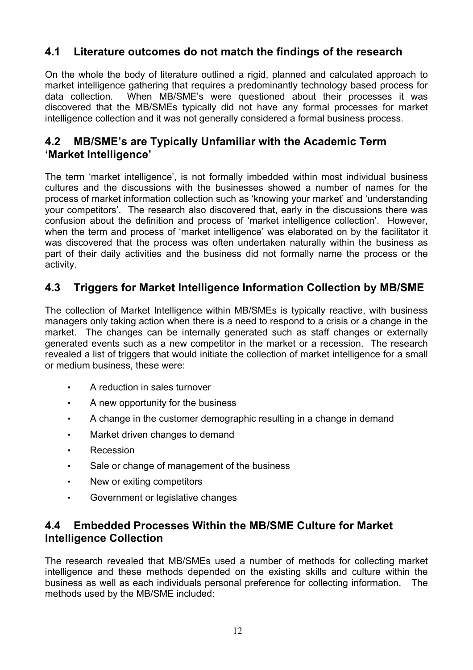## **4.1 Literature outcomes do not match the findings of the research**

On the whole the body of literature outlined a rigid, planned and calculated approach to market intelligence gathering that requires a predominantly technology based process for data collection. When MB/SME's were questioned about their processes it was discovered that the MB/SMEs typically did not have any formal processes for market intelligence collection and it was not generally considered a formal business process.

### **4.2 MB/SME's are Typically Unfamiliar with the Academic Term 'Market Intelligence'**

The term 'market intelligence', is not formally imbedded within most individual business cultures and the discussions with the businesses showed a number of names for the process of market information collection such as 'knowing your market' and 'understanding your competitors'. The research also discovered that, early in the discussions there was confusion about the definition and process of 'market intelligence collection'. However, when the term and process of 'market intelligence' was elaborated on by the facilitator it was discovered that the process was often undertaken naturally within the business as part of their daily activities and the business did not formally name the process or the activity.

## **4.3 Triggers for Market Intelligence Information Collection by MB/SME**

The collection of Market Intelligence within MB/SMEs is typically reactive, with business managers only taking action when there is a need to respond to a crisis or a change in the market. The changes can be internally generated such as staff changes or externally generated events such as a new competitor in the market or a recession. The research revealed a list of triggers that would initiate the collection of market intelligence for a small or medium business, these were:

- A reduction in sales turnover
- A new opportunity for the business
- A change in the customer demographic resulting in a change in demand
- Market driven changes to demand
- **Recession**
- Sale or change of management of the business
- New or exiting competitors
- Government or legislative changes

### **4.4 Embedded Processes Within the MB/SME Culture for Market Intelligence Collection**

The research revealed that MB/SMEs used a number of methods for collecting market intelligence and these methods depended on the existing skills and culture within the business as well as each individuals personal preference for collecting information. The methods used by the MB/SME included: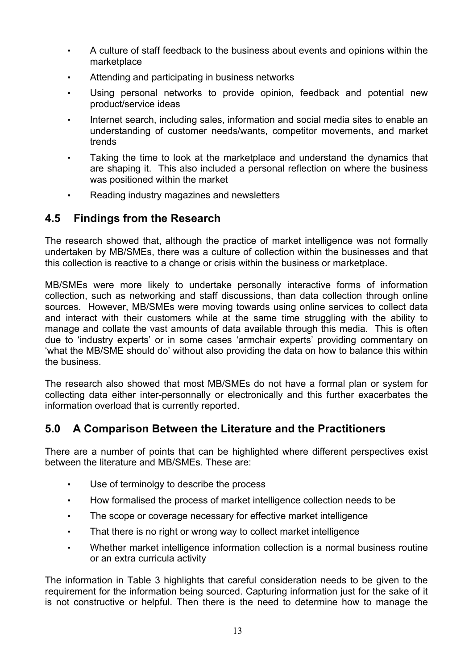- A culture of staff feedback to the business about events and opinions within the marketplace
- Attending and participating in business networks
- Using personal networks to provide opinion, feedback and potential new product/service ideas
- Internet search, including sales, information and social media sites to enable an understanding of customer needs/wants, competitor movements, and market trends
- Taking the time to look at the marketplace and understand the dynamics that are shaping it. This also included a personal reflection on where the business was positioned within the market
- Reading industry magazines and newsletters

### **4.5 Findings from the Research**

The research showed that, although the practice of market intelligence was not formally undertaken by MB/SMEs, there was a culture of collection within the businesses and that this collection is reactive to a change or crisis within the business or marketplace.

MB/SMEs were more likely to undertake personally interactive forms of information collection, such as networking and staff discussions, than data collection through online sources. However, MB/SMEs were moving towards using online services to collect data and interact with their customers while at the same time struggling with the ability to manage and collate the vast amounts of data available through this media. This is often due to 'industry experts' or in some cases 'armchair experts' providing commentary on 'what the MB/SME should do' without also providing the data on how to balance this within the business.

The research also showed that most MB/SMEs do not have a formal plan or system for collecting data either inter-personnally or electronically and this further exacerbates the information overload that is currently reported.

### **5.0 A Comparison Between the Literature and the Practitioners**

There are a number of points that can be highlighted where different perspectives exist between the literature and MB/SMEs. These are:

- Use of terminolgy to describe the process
- How formalised the process of market intelligence collection needs to be
- The scope or coverage necessary for effective market intelligence
- That there is no right or wrong way to collect market intelligence
- Whether market intelligence information collection is a normal business routine or an extra curricula activity

The information in Table 3 highlights that careful consideration needs to be given to the requirement for the information being sourced. Capturing information just for the sake of it is not constructive or helpful. Then there is the need to determine how to manage the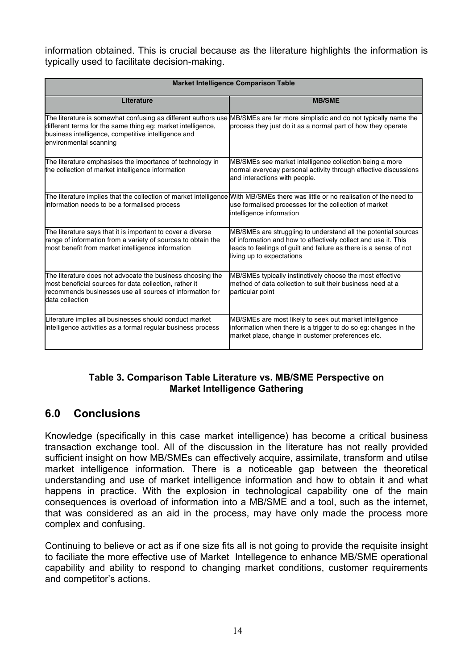information obtained. This is crucial because as the literature highlights the information is typically used to facilitate decision-making.

| <b>Market Intelligence Comparison Table</b>                                                                                                                                                                   |                                                                                                                                                                                                                                    |  |
|---------------------------------------------------------------------------------------------------------------------------------------------------------------------------------------------------------------|------------------------------------------------------------------------------------------------------------------------------------------------------------------------------------------------------------------------------------|--|
| Literature                                                                                                                                                                                                    | <b>MB/SME</b>                                                                                                                                                                                                                      |  |
| The literature is somewhat confusing as different authors use<br>different terms for the same thing eg: market intelligence,<br>business intelligence, competitive intelligence and<br>environmental scanning | MB/SMEs are far more simplistic and do not typically name the<br>process they just do it as a normal part of how they operate                                                                                                      |  |
| The literature emphasises the importance of technology in<br>the collection of market intelligence information                                                                                                | MB/SMEs see market intelligence collection being a more<br>normal everyday personal activity through effective discussions<br>and interactions with people.                                                                        |  |
| The literature implies that the collection of market intelligence<br>information needs to be a formalised process                                                                                             | With MB/SMEs there was little or no realisation of the need to<br>use formalised processes for the collection of market<br>intelligence information                                                                                |  |
| The literature says that it is important to cover a diverse<br>range of information from a variety of sources to obtain the<br>most benefit from market intelligence information                              | MB/SMEs are struggling to understand all the potential sources<br>of information and how to effectively collect and use it. This<br>leads to feelings of guilt and failure as there is a sense of not<br>living up to expectations |  |
| The literature does not advocate the business choosing the<br>most beneficial sources for data collection, rather it<br>recommends businesses use all sources of information for<br>data collection           | MB/SMEs typically instinctively choose the most effective<br>method of data collection to suit their business need at a<br>particular point                                                                                        |  |
| Literature implies all businesses should conduct market<br>intelligence activities as a formal regular business process                                                                                       | MB/SMEs are most likely to seek out market intelligence<br>information when there is a trigger to do so eg: changes in the<br>market place, change in customer preferences etc.                                                    |  |

### **Table 3. Comparison Table Literature vs. MB/SME Perspective on Market Intelligence Gathering**

## **6.0 Conclusions**

Knowledge (specifically in this case market intelligence) has become a critical business transaction exchange tool. All of the discussion in the literature has not really provided sufficient insight on how MB/SMEs can effectively acquire, assimilate, transform and utilse market intelligence information. There is a noticeable gap between the theoretical understanding and use of market intelligence information and how to obtain it and what happens in practice. With the explosion in technological capability one of the main consequences is overload of information into a MB/SME and a tool, such as the internet, that was considered as an aid in the process, may have only made the process more complex and confusing.

Continuing to believe or act as if one size fits all is not going to provide the requisite insight to faciliate the more effective use of Market Intellegence to enhance MB/SME operational capability and ability to respond to changing market conditions, customer requirements and competitor's actions.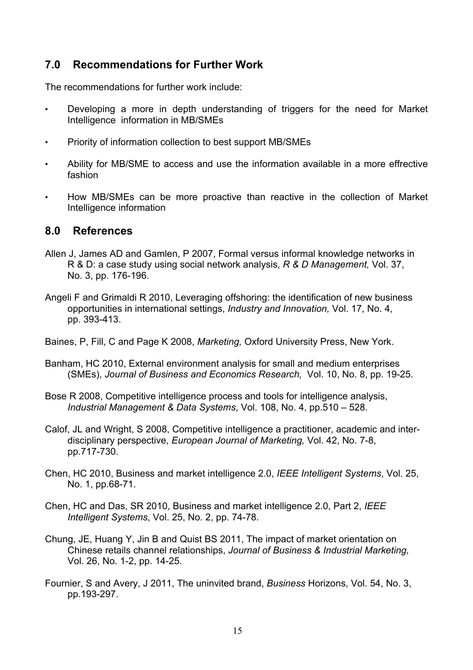### **7.0 Recommendations for Further Work**

The recommendations for further work include:

- Developing a more in depth understanding of triggers for the need for Market Intelligence information in MB/SMEs
- Priority of information collection to best support MB/SMEs
- Ability for MB/SME to access and use the information available in a more effrective fashion
- How MB/SMEs can be more proactive than reactive in the collection of Market Intelligence information

### **8.0 References**

- Allen J, James AD and Gamlen, P 2007, Formal versus informal knowledge networks in R & D: a case study using social network analysis, *R & D Management,* Vol. 37, No. 3, pp. 176-196.
- Angeli F and Grimaldi R 2010, Leveraging offshoring: the identification of new business opportunities in international settings, *Industry and Innovation,* Vol. 17, No. 4, pp. 393-413.
- Baines, P, Fill, C and Page K 2008, *Marketing,* Oxford University Press, New York.
- Banham, HC 2010, External environment analysis for small and medium enterprises (SMEs), *Journal of Business and Economics Research,* Vol. 10, No. 8, pp. 19-25.
- Bose R 2008, Competitive intelligence process and tools for intelligence analysis, *Industrial Management & Data Systems*, Vol. 108, No. 4, pp.510 – 528.
- Calof, JL and Wright, S 2008, Competitive intelligence a practitioner, academic and interdisciplinary perspective, *European Journal of Marketing,* Vol. 42, No. 7-8, pp.717-730.
- Chen, HC 2010, Business and market intelligence 2.0, *IEEE Intelligent Systems*, Vol. 25, No. 1, pp.68-71.
- Chen, HC and Das, SR 2010, Business and market intelligence 2.0, Part 2, *IEEE Intelligent Systems*, Vol. 25, No. 2, pp. 74-78.
- Chung, JE, Huang Y, Jin B and Quist BS 2011, The impact of market orientation on Chinese retails channel relationships, *Journal of Business & Industrial Marketing,*  Vol. 26, No. 1-2, pp. 14-25.
- Fournier, S and Avery, J 2011, The uninvited brand, *Business* Horizons, Vol. 54, No. 3, pp.193-297.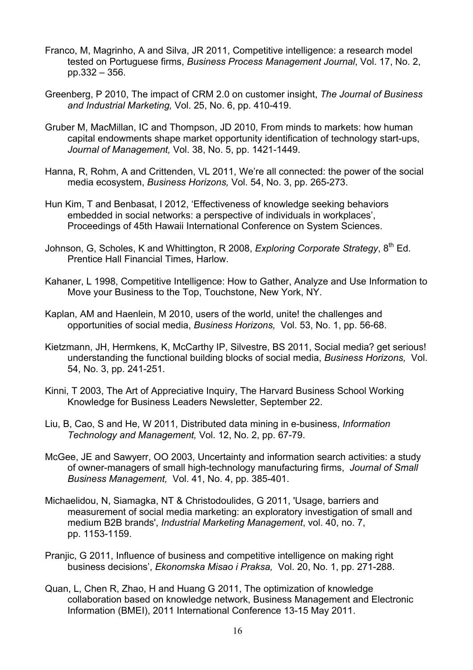- Franco, M, Magrinho, A and Silva, JR 2011, Competitive intelligence: a research model tested on Portuguese firms, *Business Process Management Journal*, Vol. 17, No. 2, pp.332 – 356.
- Greenberg, P 2010, The impact of CRM 2.0 on customer insight, *The Journal of Business and Industrial Marketing,* Vol. 25, No. 6, pp. 410-419.
- Gruber M, MacMillan, IC and Thompson, JD 2010, From minds to markets: how human capital endowments shape market opportunity identification of technology start-ups, *Journal of Management,* Vol. 38, No. 5, pp. 1421-1449.
- Hanna, R, Rohm, A and Crittenden, VL 2011, We're all connected: the power of the social media ecosystem, *Business Horizons,* Vol. 54, No. 3, pp. 265-273.
- Hun Kim, T and Benbasat, I 2012, 'Effectiveness of knowledge seeking behaviors embedded in social networks: a perspective of individuals in workplaces', Proceedings of 45th Hawaii International Conference on System Sciences.
- Johnson, G, Scholes, K and Whittington, R 2008, *Exploring Corporate Strategy*, 8<sup>th</sup> Ed. Prentice Hall Financial Times, Harlow.
- Kahaner, L 1998, Competitive Intelligence: How to Gather, Analyze and Use Information to Move your Business to the Top, Touchstone, New York, NY.
- Kaplan, AM and Haenlein, M 2010, users of the world, unite! the challenges and opportunities of social media, *Business Horizons,* Vol. 53, No. 1, pp. 56-68.
- Kietzmann, JH, Hermkens, K, McCarthy IP, Silvestre, BS 2011, Social media? get serious! understanding the functional building blocks of social media, *Business Horizons,* Vol. 54, No. 3, pp. 241-251.
- Kinni, T 2003, The Art of Appreciative Inquiry, The Harvard Business School Working Knowledge for Business Leaders Newsletter, September 22.
- Liu, B, Cao, S and He, W 2011, Distributed data mining in e-business, *Information Technology and Management,* Vol. 12, No. 2, pp. 67-79.
- McGee, JE and Sawyerr, OO 2003, Uncertainty and information search activities: a study of owner-managers of small high-technology manufacturing firms, *Journal of Small Business Management,* Vol. 41, No. 4, pp. 385-401.
- Michaelidou, N, Siamagka, NT & Christodoulides, G 2011, 'Usage, barriers and measurement of social media marketing: an exploratory investigation of small and medium B2B brands', *Industrial Marketing Management*, vol. 40, no. 7, pp. 1153-1159.
- Pranjic, G 2011, Influence of business and competitive intelligence on making right business decisions', *Ekonomska Misao i Praksa,* Vol. 20, No. 1, pp. 271-288.
- Quan, L, Chen R, Zhao, H and Huang G 2011, The optimization of knowledge collaboration based on knowledge network, Business Management and Electronic Information (BMEI), 2011 International Conference 13-15 May 2011.